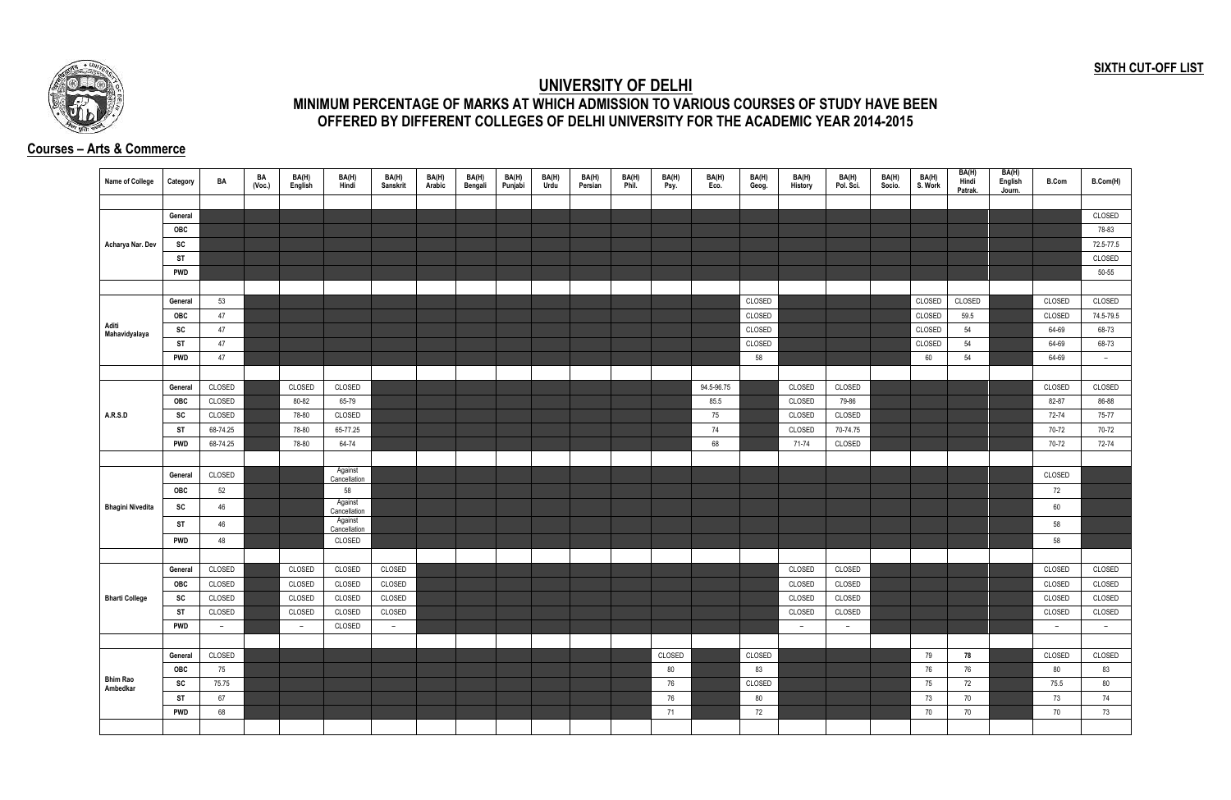## **SIXTH CUT-OFF LIST**



## **UNIVERSITY OF DELHI MINIMUM PERCENTAGE OF MARKS AT WHICH ADMISSION TO VARIOUS COURSES OF STUDY HAVE BEEN OFFERED BY DIFFERENT COLLEGES OF DELHI UNIVERSITY FOR THE ACADEMIC YEAR 2014-2015**

## **Courses – Arts & Commerce**

| <b>Name of College</b>  | Category   | BA       | BA<br>(Voc.) | BA(H)<br>English | BA(H)<br>Hindi          | BA(H)<br>Sanskrit | BA(H)<br>Arabic | BA(H)<br>Bengali | BA(H)<br>Punjabi | BA(H)<br>Urdu | BA(H)<br>Persian | BA(H)<br>Phil. | BA(H)<br>Psy. | BA(H)<br>Eco. | BA(H)<br>Geog. | BA(H)<br>History | BA(H)<br>Pol. Sci. | BA(H)<br>Socio. | BA(H)<br>S. Work | BA(H)<br>Hindi<br>Patrak. | BA(H)<br>English<br>Journ. | <b>B.Com</b>  | B.Com(H)  |
|-------------------------|------------|----------|--------------|------------------|-------------------------|-------------------|-----------------|------------------|------------------|---------------|------------------|----------------|---------------|---------------|----------------|------------------|--------------------|-----------------|------------------|---------------------------|----------------------------|---------------|-----------|
|                         |            |          |              |                  |                         |                   |                 |                  |                  |               |                  |                |               |               |                |                  |                    |                 |                  |                           |                            |               |           |
|                         | General    |          |              |                  |                         |                   |                 |                  |                  |               |                  |                |               |               |                |                  |                    |                 |                  |                           |                            |               | CLOSED    |
|                         | OBC        |          |              |                  |                         |                   |                 |                  |                  |               |                  |                |               |               |                |                  |                    |                 |                  |                           |                            |               | 78-83     |
| Acharya Nar. Dev        | SC         |          |              |                  |                         |                   |                 |                  |                  |               |                  |                |               |               |                |                  |                    |                 |                  |                           |                            |               | 72.5-77.5 |
|                         | ST         |          |              |                  |                         |                   |                 |                  |                  |               |                  |                |               |               |                |                  |                    |                 |                  |                           |                            |               | CLOSED    |
|                         | <b>PWD</b> |          |              |                  |                         |                   |                 |                  |                  |               |                  |                |               |               |                |                  |                    |                 |                  |                           |                            |               | 50-55     |
|                         |            |          |              |                  |                         |                   |                 |                  |                  |               |                  |                |               |               |                |                  |                    |                 |                  |                           |                            |               |           |
|                         | General    | 53       |              |                  |                         |                   |                 |                  |                  |               |                  |                |               |               | CLOSED         |                  |                    |                 | CLOSED           | CLOSED                    |                            | CLOSED        | CLOSED    |
|                         | OBC        | 47       |              |                  |                         |                   |                 |                  |                  |               |                  |                |               |               | CLOSED         |                  |                    |                 | CLOSED           | 59.5                      |                            | <b>CLOSED</b> | 74.5-79.5 |
| Aditi<br>Mahavidyalaya  | SC         | 47       |              |                  |                         |                   |                 |                  |                  |               |                  |                |               |               | CLOSED         |                  |                    |                 | CLOSED           | 54                        |                            | 64-69         | 68-73     |
|                         | <b>ST</b>  | 47       |              |                  |                         |                   |                 |                  |                  |               |                  |                |               |               | CLOSED         |                  |                    |                 | CLOSED           | 54                        |                            | 64-69         | 68-73     |
|                         | <b>PWD</b> | 47       |              |                  |                         |                   |                 |                  |                  |               |                  |                |               |               | 58             |                  |                    |                 | 60               | 54                        |                            | 64-69         | $ \,$     |
|                         |            |          |              |                  |                         |                   |                 |                  |                  |               |                  |                |               |               |                |                  |                    |                 |                  |                           |                            |               |           |
|                         | General    | CLOSED   |              | CLOSED           | CLOSED                  |                   |                 |                  |                  |               |                  |                |               | 94.5-96.75    |                | CLOSED           | CLOSED             |                 |                  |                           |                            | CLOSED        | CLOSED    |
|                         | OBC        | CLOSED   |              | 80-82            | 65-79                   |                   |                 |                  |                  |               |                  |                |               | 85.5          |                | CLOSED           | 79-86              |                 |                  |                           |                            | 82-87         | 86-88     |
| A.R.S.D                 | SC         | CLOSED   |              | 78-80            | CLOSED                  |                   |                 |                  |                  |               |                  |                |               | 75            |                | CLOSED           | CLOSED             |                 |                  |                           |                            | 72-74         | 75-77     |
|                         | <b>ST</b>  | 68-74.25 |              | 78-80            | 65-77.25                |                   |                 |                  |                  |               |                  |                |               | 74            |                | CLOSED           | 70-74.75           |                 |                  |                           |                            | 70-72         | 70-72     |
|                         | <b>PWD</b> | 68-74.25 |              | 78-80            | 64-74                   |                   |                 |                  |                  |               |                  |                |               | 68            |                | 71-74            | CLOSED             |                 |                  |                           |                            | 70-72         | 72-74     |
|                         |            |          |              |                  |                         |                   |                 |                  |                  |               |                  |                |               |               |                |                  |                    |                 |                  |                           |                            |               |           |
|                         | General    | CLOSED   |              |                  | Against<br>Cancellation |                   |                 |                  |                  |               |                  |                |               |               |                |                  |                    |                 |                  |                           |                            | CLOSED        |           |
|                         | <b>OBC</b> | 52       |              |                  | 58                      |                   |                 |                  |                  |               |                  |                |               |               |                |                  |                    |                 |                  |                           |                            | 72            |           |
| <b>Bhagini Nivedita</b> | SC         | 46       |              |                  | Against                 |                   |                 |                  |                  |               |                  |                |               |               |                |                  |                    |                 |                  |                           |                            | 60            |           |
|                         | <b>ST</b>  | 46       |              |                  | Cancellation<br>Against |                   |                 |                  |                  |               |                  |                |               |               |                |                  |                    |                 |                  |                           |                            | 58            |           |
|                         |            |          |              |                  | Cancellation            |                   |                 |                  |                  |               |                  |                |               |               |                |                  |                    |                 |                  |                           |                            |               |           |
|                         | <b>PWD</b> | 48       |              |                  | CLOSED                  |                   |                 |                  |                  |               |                  |                |               |               |                |                  |                    |                 |                  |                           |                            | 58            |           |
|                         |            |          |              |                  |                         |                   |                 |                  |                  |               |                  |                |               |               |                |                  |                    |                 |                  |                           |                            |               |           |
|                         | General    | CLOSED   |              | CLOSED           | CLOSED                  | CLOSED            |                 |                  |                  |               |                  |                |               |               |                | CLOSED           | CLOSED             |                 |                  |                           |                            | CLOSED        | CLOSED    |
|                         | <b>OBC</b> | CLOSED   |              | CLOSED           | CLOSED                  | CLOSED            |                 |                  |                  |               |                  |                |               |               |                | CLOSED           | CLOSED             |                 |                  |                           |                            | CLOSED        | CLOSED    |
| <b>Bharti College</b>   | SC         | CLOSED   |              | CLOSED           | CLOSED                  | CLOSED            |                 |                  |                  |               |                  |                |               |               |                | CLOSED           | CLOSED             |                 |                  |                           |                            | CLOSED        | CLOSED    |
|                         | ST         | CLOSED   |              | CLOSED           | CLOSED                  | CLOSED            |                 |                  |                  |               |                  |                |               |               |                | CLOSED           | CLOSED             |                 |                  |                           |                            | CLOSED        | CLOSED    |
|                         | <b>PWD</b> | $-$      |              | $\sim$           | CLOSED                  | $ \,$             |                 |                  |                  |               |                  |                |               |               |                | $\sim$           | $ \,$              |                 |                  |                           |                            | $ \,$         | $-$       |
|                         |            |          |              |                  |                         |                   |                 |                  |                  |               |                  |                |               |               |                |                  |                    |                 |                  |                           |                            |               |           |
|                         | General    | CLOSED   |              |                  |                         |                   |                 |                  |                  |               |                  |                | CLOSED        |               | CLOSED         |                  |                    |                 | 79               | 78                        |                            | CLOSED        | CLOSED    |
| <b>Bhim Rao</b>         | <b>OBC</b> | 75       |              |                  |                         |                   |                 |                  |                  |               |                  |                | 80            |               | 83             |                  |                    |                 | 76               | 76                        |                            | 80            | 83        |
| Ambedkar                | SC         | 75.75    |              |                  |                         |                   |                 |                  |                  |               |                  |                | 76            |               | CLOSED         |                  |                    |                 | 75               | 72                        |                            | 75.5          | 80        |
|                         | ST         | 67       |              |                  |                         |                   |                 |                  |                  |               |                  |                | 76            |               | 80             |                  |                    |                 | 73               | 70                        |                            | 73            | 74        |
|                         | <b>PWD</b> | 68       |              |                  |                         |                   |                 |                  |                  |               |                  |                | 71            |               | 72             |                  |                    |                 | 70               | 70                        |                            | 70            | 73        |
|                         |            |          |              |                  |                         |                   |                 |                  |                  |               |                  |                |               |               |                |                  |                    |                 |                  |                           |                            |               |           |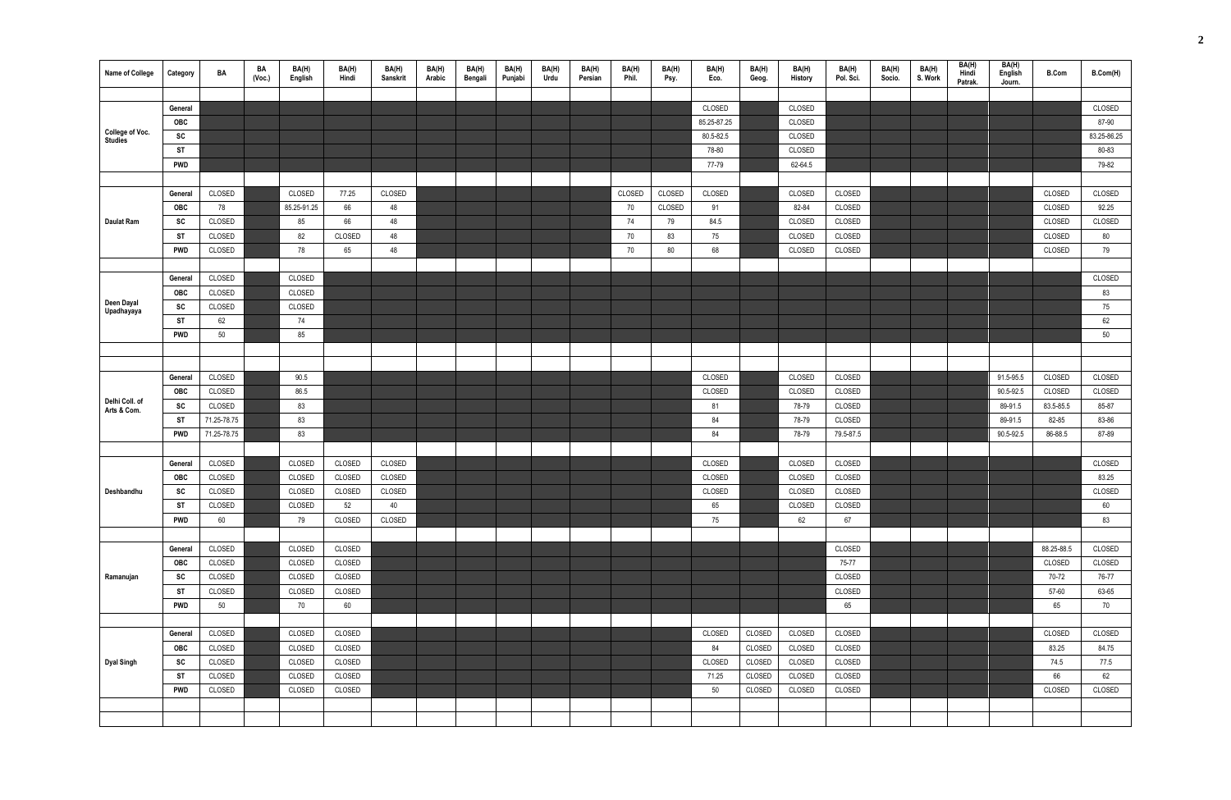| Name of College               | Category   | BA          | BA<br>(Vec.) | BA(H)<br>English | BA(H)<br>Hindi | BA(H)<br>Sanskrit | BA(H)<br>Arabic | BA(H)<br>Bengali | BA(H)<br>Punjabi | BA(H)<br>Urdu | BA(H)<br>Persian | BA(H)<br>Phil. | BA(H)<br>Psy. | BA(H)<br>Eco. | BA(H)<br>Geog. | BA(H)<br>History | BA(H)<br>Pol. Sci. | BA(H)<br>Socio. | BA(H)<br>S. Work | BA(H)<br>Hindi<br>Patrak. | BA(H)<br>English<br>Journ. | <b>B.Com</b> | B.Com(H)    |
|-------------------------------|------------|-------------|--------------|------------------|----------------|-------------------|-----------------|------------------|------------------|---------------|------------------|----------------|---------------|---------------|----------------|------------------|--------------------|-----------------|------------------|---------------------------|----------------------------|--------------|-------------|
|                               |            |             |              |                  |                |                   |                 |                  |                  |               |                  |                |               |               |                |                  |                    |                 |                  |                           |                            |              |             |
|                               | General    |             |              |                  |                |                   |                 |                  |                  |               |                  |                |               | CLOSED        |                | CLOSED           |                    |                 |                  |                           |                            |              | CLOSED      |
| College of Voc.               | OBC        |             |              |                  |                |                   |                 |                  |                  |               |                  |                |               | 85.25-87.25   |                | CLOSED           |                    |                 |                  |                           |                            |              | 87-90       |
| <b>Studies</b>                | SC         |             |              |                  |                |                   |                 |                  |                  |               |                  |                |               | 80.5-82.5     |                | CLOSED           |                    |                 |                  |                           |                            |              | 83.25-86.25 |
|                               | ST         |             |              |                  |                |                   |                 |                  |                  |               |                  |                |               | 78-80         |                | CLOSED           |                    |                 |                  |                           |                            |              | 80-83       |
|                               | <b>PWD</b> |             |              |                  |                |                   |                 |                  |                  |               |                  |                |               | 77-79         |                | 62-64.5          |                    |                 |                  |                           |                            |              | 79-82       |
|                               |            |             |              |                  |                |                   |                 |                  |                  |               |                  |                |               |               |                |                  |                    |                 |                  |                           |                            |              |             |
|                               | General    | CLOSED      |              | CLOSED           | 77.25          | CLOSED            |                 |                  |                  |               |                  | CLOSED         | CLOSED        | CLOSED        |                | CLOSED           | CLOSED             |                 |                  |                           |                            | CLOSED       | CLOSED      |
|                               | <b>OBC</b> | 78          |              | 85.25-91.25      | 66             | 48                |                 |                  |                  |               |                  | 70             | CLOSED        | 91            |                | 82-84            | CLOSED             |                 |                  |                           |                            | CLOSED       | 92.25       |
| <b>Daulat Ram</b>             | <b>SC</b>  | CLOSED      |              | 85               | 66             | 48                |                 |                  |                  |               |                  | 74             | 79            | 84.5          |                | CLOSED           | CLOSED             |                 |                  |                           |                            | CLOSED       | CLOSED      |
|                               | ST         | CLOSED      |              | 82               | <b>CLOSED</b>  | 48                |                 |                  |                  |               |                  | 70             | 83            | 75            |                | CLOSED           | CLOSED             |                 |                  |                           |                            | CLOSED       | 80          |
|                               | <b>PWD</b> | CLOSED      |              | 78               | 65             | 48                |                 |                  |                  |               |                  | 70             | 80            | 68            |                | CLOSED           | CLOSED             |                 |                  |                           |                            | CLOSED       | 79          |
|                               |            |             |              |                  |                |                   |                 |                  |                  |               |                  |                |               |               |                |                  |                    |                 |                  |                           |                            |              |             |
|                               | General    | CLOSED      |              | CLOSED           |                |                   |                 |                  |                  |               |                  |                |               |               |                |                  |                    |                 |                  |                           |                            |              | CLOSED      |
|                               | <b>OBC</b> | CLOSED      |              | CLOSED           |                |                   |                 |                  |                  |               |                  |                |               |               |                |                  |                    |                 |                  |                           |                            |              | 83          |
| Deen Dayal<br>Upadhayaya      | SC         | CLOSED      |              | CLOSED           |                |                   |                 |                  |                  |               |                  |                |               |               |                |                  |                    |                 |                  |                           |                            |              | 75          |
|                               | ST         | 62          |              | 74               |                |                   |                 |                  |                  |               |                  |                |               |               |                |                  |                    |                 |                  |                           |                            |              | 62          |
|                               | <b>PWD</b> | 50          |              | 85               |                |                   |                 |                  |                  |               |                  |                |               |               |                |                  |                    |                 |                  |                           |                            |              | 50          |
|                               |            |             |              |                  |                |                   |                 |                  |                  |               |                  |                |               |               |                |                  |                    |                 |                  |                           |                            |              |             |
|                               |            |             |              |                  |                |                   |                 |                  |                  |               |                  |                |               |               |                |                  |                    |                 |                  |                           |                            |              |             |
|                               | General    | CLOSED      |              | 90.5             |                |                   |                 |                  |                  |               |                  |                |               | CLOSED        |                | CLOSED           | CLOSED             |                 |                  |                           | 91.5-95.5                  | CLOSED       | CLOSED      |
|                               | OBC        | CLOSED      |              | 86.5             |                |                   |                 |                  |                  |               |                  |                |               | CLOSED        |                | CLOSED           | CLOSED             |                 |                  |                           | 90.5-92.5                  | CLOSED       | CLOSED      |
| Delhi Coll. of<br>Arts & Com. | SC         | CLOSED      |              | 83               |                |                   |                 |                  |                  |               |                  |                |               | 81            |                | 78-79            | CLOSED             |                 |                  |                           | 89-91.5                    | 83.5-85.5    | 85-87       |
|                               | ST         | 71.25-78.75 |              | 83               |                |                   |                 |                  |                  |               |                  |                |               | 84            |                | 78-79            | CLOSED             |                 |                  |                           | 89-91.5                    | 82-85        | 83-86       |
|                               | <b>PWD</b> | 71.25-78.75 |              | 83               |                |                   |                 |                  |                  |               |                  |                |               | 84            |                | 78-79            | 79.5-87.5          |                 |                  |                           | 90.5-92.5                  | 86-88.5      | 87-89       |
|                               |            |             |              |                  |                |                   |                 |                  |                  |               |                  |                |               |               |                |                  |                    |                 |                  |                           |                            |              |             |
|                               | General    | CLOSED      |              | CLOSED           | CLOSED         | CLOSED            |                 |                  |                  |               |                  |                |               | CLOSED        |                | CLOSED           | CLOSED             |                 |                  |                           |                            |              | CLOSED      |
|                               | OBC        | CLOSED      |              | CLOSED           | CLOSED         | CLOSED            |                 |                  |                  |               |                  |                |               | CLOSED        |                | CLOSED           | CLOSED             |                 |                  |                           |                            |              | 83.25       |
| Deshbandhu                    | SC         | CLOSED      |              | CLOSED           | CLOSED         | CLOSED            |                 |                  |                  |               |                  |                |               | CLOSED        |                | CLOSED           | CLOSED             |                 |                  |                           |                            |              | CLOSED      |
|                               | ST         | CLOSED      |              | CLOSED           | 52             | 40                |                 |                  |                  |               |                  |                |               | 65            |                | CLOSED           | CLOSED             |                 |                  |                           |                            |              | 60          |
|                               | <b>PWD</b> | 60          |              | 79               | CLOSED         | CLOSED            |                 |                  |                  |               |                  |                |               | 75            |                | 62               | 67                 |                 |                  |                           |                            |              | 83          |
|                               |            |             |              |                  |                |                   |                 |                  |                  |               |                  |                |               |               |                |                  |                    |                 |                  |                           |                            |              |             |
|                               | General    | CLOSED      |              | CLOSED           | CLOSED         |                   |                 |                  |                  |               |                  |                |               |               |                |                  | CLOSED             |                 |                  |                           |                            | 88.25-88.5   | CLOSED      |
|                               | OBC        | CLOSED      |              | CLOSED           | CLOSED         |                   |                 |                  |                  |               |                  |                |               |               |                |                  | 75-77              |                 |                  |                           |                            | CLOSED       | CLOSED      |
| Ramanujan                     | SC         | CLOSED      |              | CLOSED           | CLOSED         |                   |                 |                  |                  |               |                  |                |               |               |                |                  | CLOSED             |                 |                  |                           |                            | 70-72        | 76-77       |
|                               | <b>ST</b>  | CLOSED      |              | CLOSED           | CLOSED         |                   |                 |                  |                  |               |                  |                |               |               |                |                  | CLOSED             |                 |                  |                           |                            | 57-60        | 63-65       |
|                               | <b>PWD</b> | 50          |              | 70               | 60             |                   |                 |                  |                  |               |                  |                |               |               |                |                  | 65                 |                 |                  |                           |                            | 65           | 70          |
|                               |            |             |              |                  |                |                   |                 |                  |                  |               |                  |                |               |               |                |                  |                    |                 |                  |                           |                            |              |             |
|                               | General    | CLOSED      |              | CLOSED           | CLOSED         |                   |                 |                  |                  |               |                  |                |               | CLOSED        | CLOSED         | CLOSED           | CLOSED             |                 |                  |                           |                            | CLOSED       | CLOSED      |
|                               | OBC        | CLOSED      |              | CLOSED           | CLOSED         |                   |                 |                  |                  |               |                  |                |               | 84            | CLOSED         | CLOSED           | CLOSED             |                 |                  |                           |                            | 83.25        | 84.75       |
| <b>Dyal Singh</b>             | SC         | CLOSED      |              | CLOSED           | CLOSED         |                   |                 |                  |                  |               |                  |                |               | CLOSED        | CLOSED         | CLOSED           | CLOSED             |                 |                  |                           |                            | 74.5         | 77.5        |
|                               | <b>ST</b>  | CLOSED      |              | CLOSED           | CLOSED         |                   |                 |                  |                  |               |                  |                |               | 71.25         | CLOSED         | CLOSED           | CLOSED             |                 |                  |                           |                            | 66           | 62          |
|                               | <b>PWD</b> | CLOSED      |              | CLOSED           | CLOSED         |                   |                 |                  |                  |               |                  |                |               | 50            | CLOSED         | CLOSED           | CLOSED             |                 |                  |                           |                            | CLOSED       | CLOSED      |
|                               |            |             |              |                  |                |                   |                 |                  |                  |               |                  |                |               |               |                |                  |                    |                 |                  |                           |                            |              |             |
|                               |            |             |              |                  |                |                   |                 |                  |                  |               |                  |                |               |               |                |                  |                    |                 |                  |                           |                            |              |             |
|                               |            |             |              |                  |                |                   |                 |                  |                  |               |                  |                |               |               |                |                  |                    |                 |                  |                           |                            |              |             |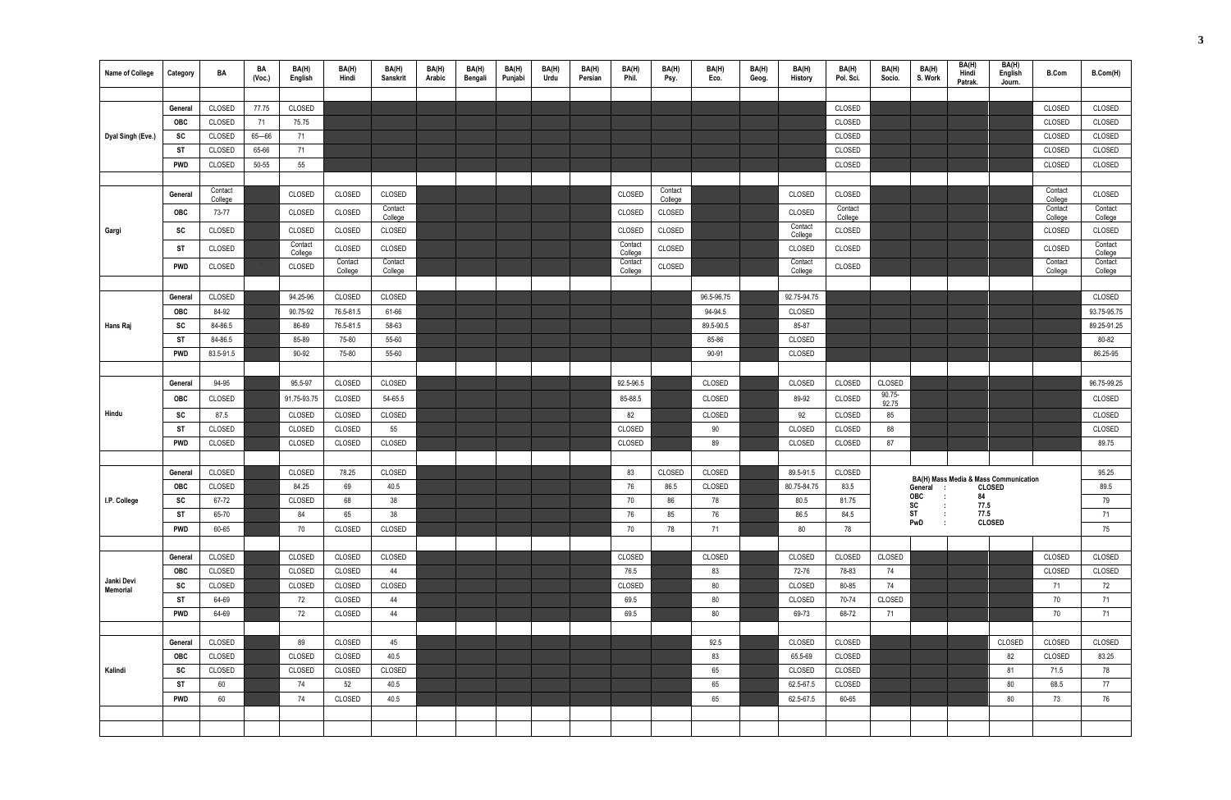| <b>Name of College</b> | Category   | BA                 | BA<br>(Vec.) | BA(H)<br>English   | BA(H)<br>Hindi     | BA(H)<br>Sanskrit  | BA(H)<br>Arabic | BA(H)<br>Bengali | BA(H)<br>Punjabi | BA(H)<br>Urdu | BA(H)<br>Persian | BA(H)<br>Phil.     | BA(H)<br>Psy.      | BA(H)<br>Eco. | BA(H)<br>Geog. | BA(H)<br>History   | BA(H)<br>Pol. Sci. | BA(H)<br>Socio.    | BA(H)<br>S. Work    | BA(H)<br>Hindi<br>Patrak. | BA(H)<br>English<br>Journ.                             | <b>B.Com</b>       | B.Com(H)           |
|------------------------|------------|--------------------|--------------|--------------------|--------------------|--------------------|-----------------|------------------|------------------|---------------|------------------|--------------------|--------------------|---------------|----------------|--------------------|--------------------|--------------------|---------------------|---------------------------|--------------------------------------------------------|--------------------|--------------------|
|                        |            |                    |              |                    |                    |                    |                 |                  |                  |               |                  |                    |                    |               |                |                    |                    |                    |                     |                           |                                                        |                    |                    |
|                        | General    | CLOSED             | 77.75        | CLOSED             |                    |                    |                 |                  |                  |               |                  |                    |                    |               |                |                    | CLOSED             |                    |                     |                           |                                                        | CLOSED             | CLOSED             |
|                        | <b>OBC</b> | CLOSED             | 71           | 75.75              |                    |                    |                 |                  |                  |               |                  |                    |                    |               |                |                    | CLOSED             |                    |                     |                           |                                                        | CLOSED             | CLOSED             |
| Dyal Singh (Eve.)      | SC         | CLOSED             | $65 - 66$    | 71                 |                    |                    |                 |                  |                  |               |                  |                    |                    |               |                |                    | CLOSED             |                    |                     |                           |                                                        | CLOSED             | CLOSED             |
|                        | ST         | CLOSED             | 65-66        | 71                 |                    |                    |                 |                  |                  |               |                  |                    |                    |               |                |                    | CLOSED             |                    |                     |                           |                                                        | CLOSED             | CLOSED             |
|                        | <b>PWD</b> | CLOSED             | 50-55        | 55                 |                    |                    |                 |                  |                  |               |                  |                    |                    |               |                |                    | CLOSED             |                    |                     |                           |                                                        | CLOSED             | CLOSED             |
|                        |            |                    |              |                    |                    |                    |                 |                  |                  |               |                  |                    |                    |               |                |                    |                    |                    |                     |                           |                                                        |                    |                    |
|                        | General    | Contact<br>College |              | <b>CLOSED</b>      | CLOSED             | CLOSED             |                 |                  |                  |               |                  | CLOSED             | Contact<br>College |               |                | CLOSED             | CLOSED             |                    |                     |                           |                                                        | Contact<br>College | CLOSED             |
|                        | OBC        | 73-77              |              | CLOSED             | CLOSED             | Contact<br>College |                 |                  |                  |               |                  | CLOSED             | CLOSED             |               |                | CLOSED             | Contact<br>College |                    |                     |                           |                                                        | Contact<br>College | Contact<br>College |
| Gargi                  | SC         | CLOSED             |              | CLOSED             | CLOSED             | CLOSED             |                 |                  |                  |               |                  | CLOSED             | CLOSED             |               |                | Contact<br>College | CLOSED             |                    |                     |                           |                                                        | CLOSED             | CLOSED             |
|                        | ST         | CLOSED             |              | Contact<br>College | CLOSED             | CLOSED             |                 |                  |                  |               |                  | Contact<br>College | CLOSED             |               |                | CLOSED             | CLOSED             |                    |                     |                           |                                                        | CLOSED             | Contact<br>College |
|                        | <b>PWD</b> | CLOSED             |              | CLOSED             | Contact<br>College | Contact<br>College |                 |                  |                  |               |                  | Contact<br>College | CLOSED             |               |                | Contact<br>College | CLOSED             |                    |                     |                           |                                                        | Contact<br>College | Contact<br>College |
|                        |            |                    |              |                    |                    |                    |                 |                  |                  |               |                  |                    |                    |               |                |                    |                    |                    |                     |                           |                                                        |                    |                    |
|                        | General    | CLOSED             |              | 94.25-96           | CLOSED             | CLOSED             |                 |                  |                  |               |                  |                    |                    | 96.5-96.75    |                | 92.75-94.75        |                    |                    |                     |                           |                                                        |                    | CLOSED             |
|                        | <b>OBC</b> | 84-92              |              | 90.75-92           | 76.5-81.5          | 61-66              |                 |                  |                  |               |                  |                    |                    | 94-94.5       |                | CLOSED             |                    |                    |                     |                           |                                                        |                    | 93.75-95.75        |
| Hans Raj               | <b>SC</b>  | 84-86.5            |              | 86-89              | 76.5-81.5          | 58-63              |                 |                  |                  |               |                  |                    |                    | 89.5-90.5     |                | 85-87              |                    |                    |                     |                           |                                                        |                    | 89.25-91.25        |
|                        | <b>ST</b>  | 84-86.5            |              | 85-89              | 75-80              | 55-60              |                 |                  |                  |               |                  |                    |                    | 85-86         |                | CLOSED             |                    |                    |                     |                           |                                                        |                    | 80-82              |
|                        | <b>PWD</b> | 83.5-91.5          |              | 90-92              | 75-80              | 55-60              |                 |                  |                  |               |                  |                    |                    | 90-91         |                | CLOSED             |                    |                    |                     |                           |                                                        |                    | 86.25-95           |
|                        |            |                    |              |                    |                    |                    |                 |                  |                  |               |                  |                    |                    |               |                |                    |                    |                    |                     |                           |                                                        |                    |                    |
|                        | General    | 94-95              |              | 95.5-97            | CLOSED             | CLOSED             |                 |                  |                  |               |                  | 92.5-96.5          |                    | CLOSED        |                | CLOSED             | CLOSED             | CLOSED             |                     |                           |                                                        |                    | 96.75-99.25        |
|                        | <b>OBC</b> | CLOSED             |              | 91.75-93.75        | CLOSED             | 54-65.5            |                 |                  |                  |               |                  | 85-88.5            |                    | CLOSED        |                | 89-92              | CLOSED             | $90.75 -$<br>92.75 |                     |                           |                                                        |                    | CLOSED             |
| Hindu                  | SC         | 87.5               |              | CLOSED             | CLOSED             | CLOSED             |                 |                  |                  |               |                  | 82                 |                    | CLOSED        |                | 92                 | CLOSED             | 85                 |                     |                           |                                                        |                    | CLOSED             |
|                        | ST         | CLOSED             |              | <b>CLOSED</b>      | CLOSED             | 55                 |                 |                  |                  |               |                  | CLOSED             |                    | 90            |                | CLOSED             | CLOSED             | 88                 |                     |                           |                                                        |                    | CLOSED             |
|                        | PWD        | CLOSED             |              | CLOSED             | CLOSED             | CLOSED             |                 |                  |                  |               |                  | CLOSED             |                    | 89            |                | CLOSED             | CLOSED             | 87                 |                     |                           |                                                        |                    | 89.75              |
|                        |            |                    |              |                    |                    |                    |                 |                  |                  |               |                  |                    |                    |               |                |                    |                    |                    |                     |                           |                                                        |                    |                    |
|                        | General    | CLOSED             |              | CLOSED             | 78.25              | CLOSED             |                 |                  |                  |               |                  | 83                 | CLOSED             | CLOSED        |                | 89.5-91.5          | CLOSED             |                    |                     |                           |                                                        |                    | 95.25              |
|                        | <b>OBC</b> | CLOSED             |              | 84.25              | 69                 | 40.5               |                 |                  |                  |               |                  | 76                 | 86.5               | CLOSED        |                | 80.75-84.75        | 83.5               |                    | General<br>- 1      |                           | BA(H) Mass Media & Mass Communication<br><b>CLOSED</b> |                    | 89.5               |
| I.P. College           | SC         | 67-72              |              | CLOSED             | 68                 | 38                 |                 |                  |                  |               |                  | 70                 | 86                 | 78            |                | 80.5               | 81.75              |                    | OBC<br>${\sf sc}$   | 84<br>77.5                |                                                        |                    | 79                 |
|                        | <b>ST</b>  | 65-70              |              | 84                 | 65                 | 38                 |                 |                  |                  |               |                  | 76                 | 85                 | 76            |                | 86.5               | 84.5               |                    | ST                  | 77.5                      |                                                        |                    | 71                 |
|                        | PWD        | 60-65              |              | 70                 | CLOSED             | CLOSED             |                 |                  |                  |               |                  | 70                 | 78                 | 71            |                | 80                 | 78                 |                    | PwD<br>$\mathbf{r}$ |                           | <b>CLOSED</b>                                          |                    | 75                 |
|                        |            |                    |              |                    |                    |                    |                 |                  |                  |               |                  |                    |                    |               |                |                    |                    |                    |                     |                           |                                                        |                    |                    |
|                        | General    | CLOSED             |              | CLOSED             | CLOSED             | CLOSED             |                 |                  |                  |               |                  | CLOSED             |                    | CLOSED        |                | CLOSED             | CLOSED             | CLOSED             |                     |                           |                                                        | CLOSED             | CLOSED             |
|                        | OBC        | CLOSED             |              | CLOSED             | CLOSED             | 44                 |                 |                  |                  |               |                  | 76.5               |                    | 83            |                | 72-76              | 78-83              | 74                 |                     |                           |                                                        | CLOSED             | CLOSED             |
| Janki Devi<br>Memorial | SC         | CLOSED             |              | CLOSED             | CLOSED             | CLOSED             |                 |                  |                  |               |                  | CLOSED             |                    | 80            |                | CLOSED             | 80-85              | 74                 |                     |                           |                                                        | 71                 | 72                 |
|                        | ST         | 64-69              |              | 72                 | CLOSED             | 44                 |                 |                  |                  |               |                  | 69.5               |                    | 80            |                | CLOSED             | 70-74              | CLOSED             |                     |                           |                                                        | 70                 | 71                 |
|                        | <b>PWD</b> | 64-69              |              | 72                 | CLOSED             | 44                 |                 |                  |                  |               |                  | 69.5               |                    | 80            |                | 69-73              | 68-72              | 71                 |                     |                           |                                                        | 70                 | 71                 |
|                        |            |                    |              |                    |                    |                    |                 |                  |                  |               |                  |                    |                    |               |                |                    |                    |                    |                     |                           |                                                        |                    |                    |
|                        | General    | CLOSED             |              | 89                 | CLOSED             | 45                 |                 |                  |                  |               |                  |                    |                    | 92.5          |                | CLOSED             | CLOSED             |                    |                     |                           | CLOSED                                                 | CLOSED             | CLOSED             |
|                        | OBC        | CLOSED             |              | CLOSED             | CLOSED             | 40.5               |                 |                  |                  |               |                  |                    |                    | 83            |                | 65.5-69            | CLOSED             |                    |                     |                           | 82                                                     | CLOSED             | 83.25              |
| Kalindi                | SC         | CLOSED             |              | CLOSED             | CLOSED             | CLOSED             |                 |                  |                  |               |                  |                    |                    | 65            |                | CLOSED             | CLOSED             |                    |                     |                           | 81                                                     | 71.5               | 78                 |
|                        | ST         | 60                 |              | 74                 | 52                 | 40.5               |                 |                  |                  |               |                  |                    |                    | 65            |                | 62.5-67.5          | CLOSED             |                    |                     |                           | 80                                                     | 68.5               | 77                 |
|                        | PWD        | 60                 |              | 74                 | CLOSED             | 40.5               |                 |                  |                  |               |                  |                    |                    | 65            |                | 62.5-67.5          | 60-65              |                    |                     |                           | 80                                                     | 73                 | 76                 |
|                        |            |                    |              |                    |                    |                    |                 |                  |                  |               |                  |                    |                    |               |                |                    |                    |                    |                     |                           |                                                        |                    |                    |
|                        |            |                    |              |                    |                    |                    |                 |                  |                  |               |                  |                    |                    |               |                |                    |                    |                    |                     |                           |                                                        |                    |                    |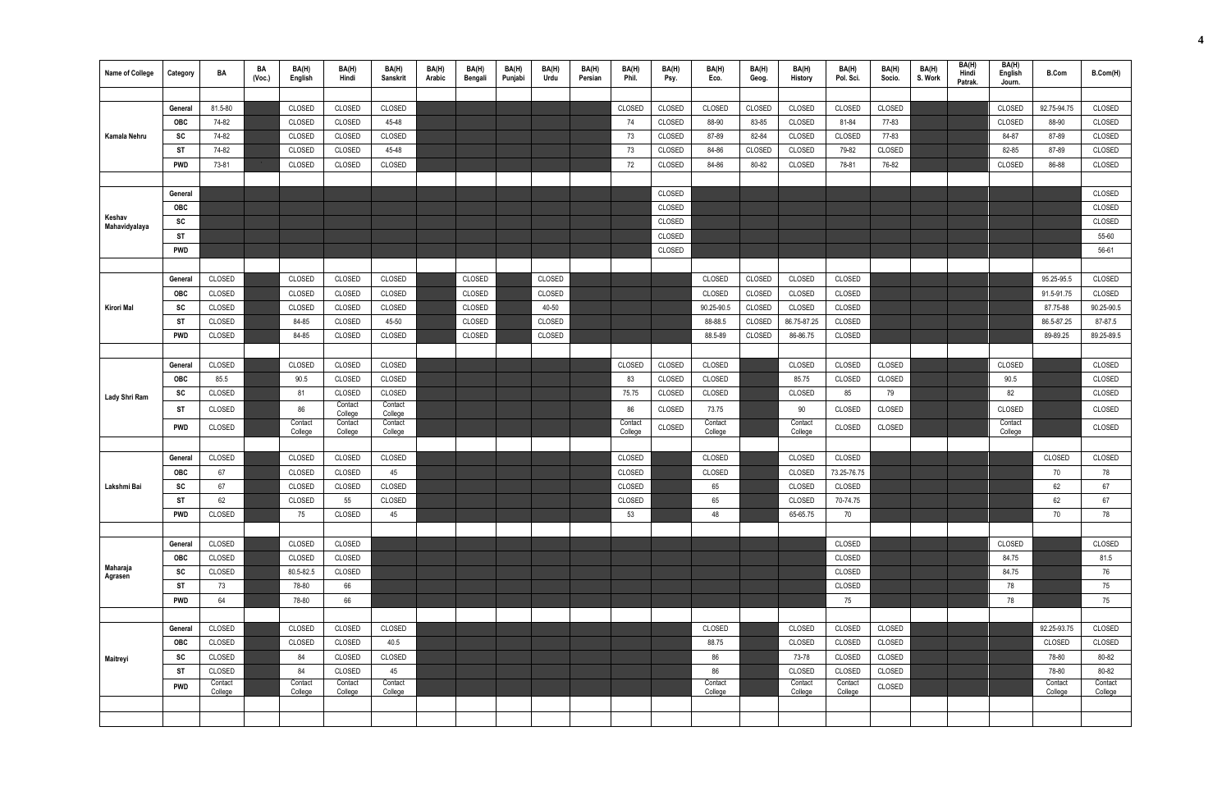| <b>Name of College</b>  | Category   | BA                 | BA<br>(Vec.) | BA(H)<br>English   | BA(H)<br>Hindi     | BA(H)<br>Sanskrit  | BA(H)<br>Arabic | BA(H)<br>Bengali | BA(H)<br>Punjabi | BA(H)<br>Urdu | BA(H)<br>Persian | BA(H)<br>Phil.     | BA(H)<br>Psy. | BA(H)<br>Eco.      | BA(H)<br>Geog. | BA(H)<br>History   | BA(H)<br>Pol. Sci. | BA(H)<br>Socio. | BA(H)<br>S. Work | BA(H)<br>Hindi<br>Patrak. | BA(H)<br>English<br>Journ. | <b>B.Com</b>       | B.Com(H)           |
|-------------------------|------------|--------------------|--------------|--------------------|--------------------|--------------------|-----------------|------------------|------------------|---------------|------------------|--------------------|---------------|--------------------|----------------|--------------------|--------------------|-----------------|------------------|---------------------------|----------------------------|--------------------|--------------------|
|                         |            |                    |              |                    |                    |                    |                 |                  |                  |               |                  |                    |               |                    |                |                    |                    |                 |                  |                           |                            |                    |                    |
|                         | General    | 81.5-80            |              | CLOSED             | CLOSED             | CLOSED             |                 |                  |                  |               |                  | CLOSED             | CLOSED        | CLOSED             | CLOSED         | CLOSED             | CLOSED             | CLOSED          |                  |                           | CLOSED                     | 92.75-94.75        | CLOSED             |
|                         | OBC        | 74-82              |              | CLOSED             | CLOSED             | 45-48              |                 |                  |                  |               |                  | 74                 | CLOSED        | 88-90              | 83-85          | CLOSED             | 81-84              | 77-83           |                  |                           | CLOSED                     | 88-90              | CLOSED             |
| Kamala Nehru            | SC         | 74-82              |              | CLOSED             | CLOSED             | CLOSED             |                 |                  |                  |               |                  | 73                 | CLOSED        | 87-89              | 82-84          | CLOSED             | CLOSED             | 77-83           |                  |                           | 84-87                      | 87-89              | CLOSED             |
|                         | ST         | 74-82              |              | CLOSED             | CLOSED             | 45-48              |                 |                  |                  |               |                  | 73                 | CLOSED        | 84-86              | CLOSED         | <b>CLOSED</b>      | 79-82              | CLOSED          |                  |                           | 82-85                      | 87-89              | CLOSED             |
|                         | PWD        | 73-81              |              | CLOSED             | CLOSED             | CLOSED             |                 |                  |                  |               |                  | 72                 | CLOSED        | 84-86              | 80-82          | CLOSED             | 78-81              | 76-82           |                  |                           | CLOSED                     | 86-88              | CLOSED             |
|                         |            |                    |              |                    |                    |                    |                 |                  |                  |               |                  |                    |               |                    |                |                    |                    |                 |                  |                           |                            |                    |                    |
|                         | General    |                    |              |                    |                    |                    |                 |                  |                  |               |                  |                    | CLOSED        |                    |                |                    |                    |                 |                  |                           |                            |                    | CLOSED             |
|                         | OBC        |                    |              |                    |                    |                    |                 |                  |                  |               |                  |                    | CLOSED        |                    |                |                    |                    |                 |                  |                           |                            |                    | CLOSED             |
| Keshav<br>Mahavidyalaya | SC         |                    |              |                    |                    |                    |                 |                  |                  |               |                  |                    | CLOSED        |                    |                |                    |                    |                 |                  |                           |                            |                    | CLOSED             |
|                         | ST         |                    |              |                    |                    |                    |                 |                  |                  |               |                  |                    | CLOSED        |                    |                |                    |                    |                 |                  |                           |                            |                    | 55-60              |
|                         | PWD        |                    |              |                    |                    |                    |                 |                  |                  |               |                  |                    | CLOSED        |                    |                |                    |                    |                 |                  |                           |                            |                    | 56-61              |
|                         |            |                    |              |                    |                    |                    |                 |                  |                  |               |                  |                    |               |                    |                |                    |                    |                 |                  |                           |                            |                    |                    |
|                         | General    | CLOSED             |              | CLOSED             | CLOSED             | CLOSED             |                 | CLOSED           |                  | CLOSED        |                  |                    |               | CLOSED             | CLOSED         | CLOSED             | CLOSED             |                 |                  |                           |                            | 95.25-95.5         | CLOSED             |
|                         | OBC        | CLOSED             |              | CLOSED             | CLOSED             | CLOSED             |                 | CLOSED           |                  | CLOSED        |                  |                    |               | CLOSED             | CLOSED         | CLOSED             | CLOSED             |                 |                  |                           |                            | 91.5-91.75         | CLOSED             |
| Kirori Mal              | <b>SC</b>  | CLOSED             |              | CLOSED             | CLOSED             | CLOSED             |                 | CLOSED           |                  | 40-50         |                  |                    |               | 90.25-90.5         | CLOSED         | CLOSED             | CLOSED             |                 |                  |                           |                            | 87.75-88           | 90.25-90.5         |
|                         | ST         | CLOSED             |              | 84-85              | CLOSED             | 45-50              |                 | CLOSED           |                  | CLOSED        |                  |                    |               | 88-88.5            | CLOSED         | 86.75-87.25        | CLOSED             |                 |                  |                           |                            | 86.5-87.25         | 87-87.5            |
|                         | PWD        | CLOSED             |              | 84-85              | CLOSED             | CLOSED             |                 | CLOSED           |                  | CLOSED        |                  |                    |               | 88.5-89            | CLOSED         | 86-86.75           | CLOSED             |                 |                  |                           |                            | 89-89.25           | 89.25-89.5         |
|                         |            |                    |              |                    |                    |                    |                 |                  |                  |               |                  |                    |               |                    |                |                    |                    |                 |                  |                           |                            |                    |                    |
|                         | General    | CLOSED             |              | CLOSED             | CLOSED             | CLOSED             |                 |                  |                  |               |                  | CLOSED             | CLOSED        | CLOSED             |                | CLOSED             | CLOSED             | CLOSED          |                  |                           | CLOSED                     |                    | CLOSED             |
|                         | <b>OBC</b> | 85.5               |              | 90.5               | CLOSED             | CLOSED             |                 |                  |                  |               |                  | 83                 | CLOSED        | CLOSED             |                | 85.75              | CLOSED             | CLOSED          |                  |                           | 90.5                       |                    | CLOSED             |
| Lady Shri Ram           | SC         | CLOSED             |              | 81                 | CLOSED             | CLOSED             |                 |                  |                  |               |                  | 75.75              | CLOSED        | CLOSED             |                | CLOSED             | 85                 | 79              |                  |                           | 82                         |                    | CLOSED             |
|                         | ST         | CLOSED             |              | 86                 | Contact<br>College | Contact<br>College |                 |                  |                  |               |                  | 86                 | CLOSED        | 73.75              |                | 90                 | CLOSED             | CLOSED          |                  |                           | CLOSED                     |                    | CLOSED             |
|                         | <b>PWD</b> | CLOSED             |              | Contact<br>College | Contact<br>College | Contact<br>College |                 |                  |                  |               |                  | Contact<br>College | CLOSED        | Contact<br>College |                | Contact<br>College | CLOSED             | CLOSED          |                  |                           | Contact<br>College         |                    | CLOSED             |
|                         |            |                    |              |                    |                    |                    |                 |                  |                  |               |                  |                    |               |                    |                |                    |                    |                 |                  |                           |                            |                    |                    |
|                         | General    | CLOSED             |              | CLOSED             | CLOSED             | CLOSED             |                 |                  |                  |               |                  | CLOSED             |               | CLOSED             |                | <b>CLOSED</b>      | CLOSED             |                 |                  |                           |                            | CLOSED             | CLOSED             |
|                         | <b>OBC</b> | 67                 |              | CLOSED             | CLOSED             | 45                 |                 |                  |                  |               |                  | CLOSED             |               | CLOSED             |                | CLOSED             | 73.25-76.75        |                 |                  |                           |                            | 70                 | 78                 |
| Lakshmi Bai             | SC         | 67                 |              | CLOSED             | CLOSED             | CLOSED             |                 |                  |                  |               |                  | CLOSED             |               | 65                 |                | CLOSED             | CLOSED             |                 |                  |                           |                            | 62                 | 67                 |
|                         | <b>ST</b>  | 62                 |              | CLOSED             | 55                 | CLOSED             |                 |                  |                  |               |                  | CLOSED             |               | 65                 |                | CLOSED             | 70-74.75           |                 |                  |                           |                            | 62                 | 67                 |
|                         | PWD        | CLOSED             |              | 75                 | CLOSED             | 45                 |                 |                  |                  |               |                  | 53                 |               | 48                 |                | 65-65.75           | 70                 |                 |                  |                           |                            | 70                 | 78                 |
|                         |            |                    |              |                    |                    |                    |                 |                  |                  |               |                  |                    |               |                    |                |                    |                    |                 |                  |                           |                            |                    |                    |
|                         | General    | CLOSED             |              | CLOSED             | CLOSED             |                    |                 |                  |                  |               |                  |                    |               |                    |                |                    | CLOSED             |                 |                  |                           | CLOSED                     |                    | CLOSED             |
|                         | OBC        | CLOSED             |              | CLOSED             | CLOSED             |                    |                 |                  |                  |               |                  |                    |               |                    |                |                    | CLOSED             |                 |                  |                           | 84.75                      |                    | 81.5               |
| Maharaja<br>Agrasen     | SC         | CLOSED             |              | 80.5-82.5          | CLOSED             |                    |                 |                  |                  |               |                  |                    |               |                    |                |                    | CLOSED             |                 |                  |                           | 84.75                      |                    | 76                 |
|                         | ST         | 73                 |              | 78-80              | 66                 |                    |                 |                  |                  |               |                  |                    |               |                    |                |                    | CLOSED             |                 |                  |                           | 78                         |                    | 75                 |
|                         | PWD        | 64                 |              | 78-80              | 66                 |                    |                 |                  |                  |               |                  |                    |               |                    |                |                    | 75                 |                 |                  |                           | 78                         |                    | 75                 |
|                         |            |                    |              |                    |                    |                    |                 |                  |                  |               |                  |                    |               |                    |                |                    |                    |                 |                  |                           |                            |                    |                    |
|                         | General    | CLOSED             |              | CLOSED             | CLOSED             | CLOSED             |                 |                  |                  |               |                  |                    |               | CLOSED             |                | CLOSED             | CLOSED             | CLOSED          |                  |                           |                            | 92.25-93.75        | CLOSED             |
|                         | OBC        | CLOSED             |              | CLOSED             | CLOSED             | 40.5               |                 |                  |                  |               |                  |                    |               | 88.75              |                | CLOSED             | CLOSED             | CLOSED          |                  |                           |                            | CLOSED             | CLOSED             |
| Maitreyi                | SC         | CLOSED             |              | 84                 | CLOSED             | CLOSED             |                 |                  |                  |               |                  |                    |               | 86                 |                | 73-78              | CLOSED             | CLOSED          |                  |                           |                            | 78-80              | 80-82              |
|                         | <b>ST</b>  | CLOSED             |              | 84                 | CLOSED             | 45                 |                 |                  |                  |               |                  |                    |               | 86                 |                | CLOSED             | CLOSED             | CLOSED          |                  |                           |                            | 78-80              | 80-82              |
|                         | <b>PWD</b> | Contact<br>College |              | Contact<br>College | Contact<br>College | Contact<br>College |                 |                  |                  |               |                  |                    |               | Contact<br>College |                | Contact<br>College | Contact<br>College | CLOSED          |                  |                           |                            | Contact<br>College | Contact<br>College |
|                         |            |                    |              |                    |                    |                    |                 |                  |                  |               |                  |                    |               |                    |                |                    |                    |                 |                  |                           |                            |                    |                    |
|                         |            |                    |              |                    |                    |                    |                 |                  |                  |               |                  |                    |               |                    |                |                    |                    |                 |                  |                           |                            |                    |                    |
|                         |            |                    |              |                    |                    |                    |                 |                  |                  |               |                  |                    |               |                    |                |                    |                    |                 |                  |                           |                            |                    |                    |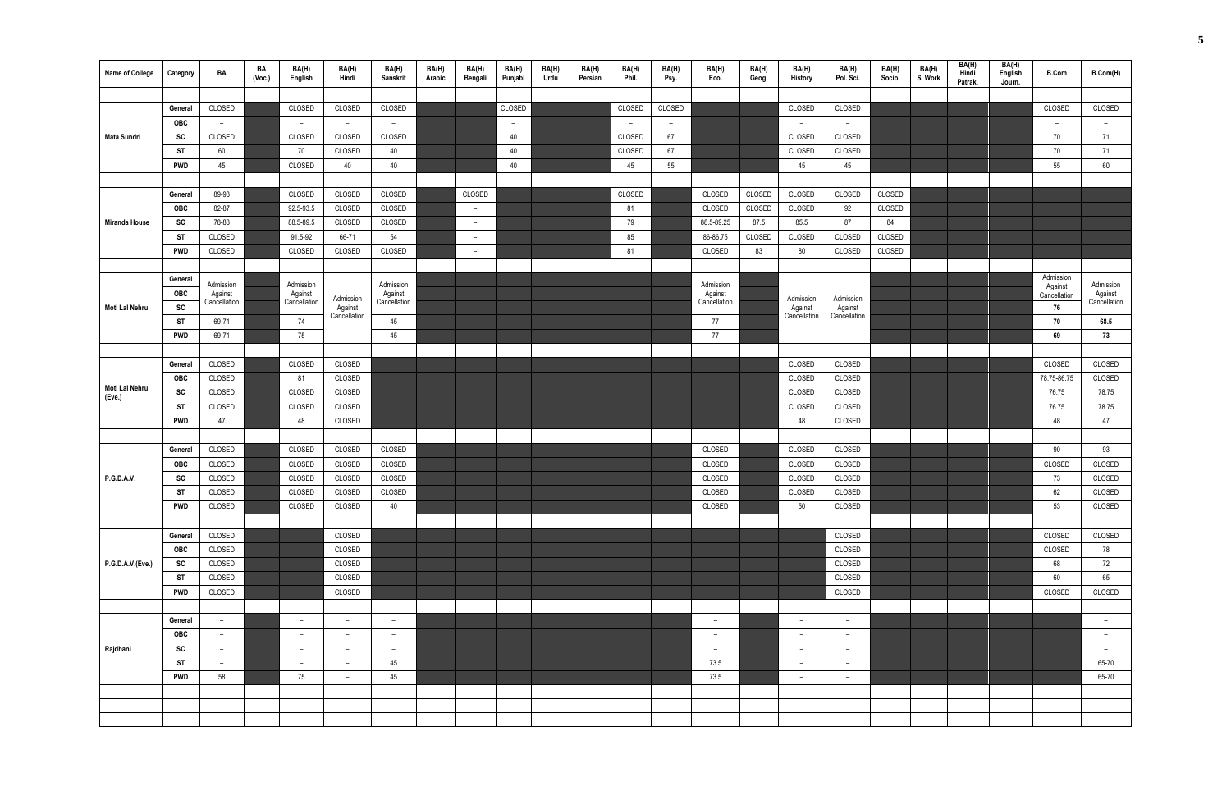| <b>Name of College</b> | Category              | BA                      | BA<br>(Vec.) | BA(H)<br>English         | BA(H)<br>Hindi          | BA(H)<br>Sanskrit        | BA(H)<br>Arabic | BA(H)<br>Bengali         | BA(H)<br>Punjabi | BA(H)<br>Urdu | BA(H)<br>Persian | BA(H)<br>Phil. | BA(H)<br>Psy.  | BA(H)<br>Eco.            | BA(H)<br>Geog. | BA(H)<br><b>History</b>  | BA(H)<br>Pol. Sci.       | BA(H)<br>Socio. | BA(H)<br>S. Work | BA(H)<br>Hindi<br>Patrak. | BA(H)<br>English<br>Journ. | <b>B.Com</b>         | B.Com(H)                 |
|------------------------|-----------------------|-------------------------|--------------|--------------------------|-------------------------|--------------------------|-----------------|--------------------------|------------------|---------------|------------------|----------------|----------------|--------------------------|----------------|--------------------------|--------------------------|-----------------|------------------|---------------------------|----------------------------|----------------------|--------------------------|
|                        |                       |                         |              |                          |                         |                          |                 |                          |                  |               |                  |                |                |                          |                |                          |                          |                 |                  |                           |                            |                      |                          |
|                        | General               | CLOSED                  |              | CLOSED                   | CLOSED                  | CLOSED                   |                 |                          | CLOSED           |               |                  | CLOSED         | CLOSED         |                          |                | CLOSED                   | CLOSED                   |                 |                  |                           |                            | CLOSED               | CLOSED                   |
|                        | <b>OBC</b>            | $-$                     |              | $\overline{\phantom{a}}$ | $ \,$                   | $ \,$                    |                 |                          | $ \,$            |               |                  | $ \,$          | $\overline{a}$ |                          |                | $ \,$                    | $-$                      |                 |                  |                           |                            | $-$                  | $\overline{\phantom{a}}$ |
| <b>Mata Sundri</b>     | SC                    | CLOSED                  |              | CLOSED                   | CLOSED                  | CLOSED                   |                 |                          | 40               |               |                  | CLOSED         | 67             |                          |                | CLOSED                   | CLOSED                   |                 |                  |                           |                            | 70                   | 71                       |
|                        | ST                    | 60                      |              | 70                       | CLOSED                  | 40                       |                 |                          | 40               |               |                  | CLOSED         | 67             |                          |                | CLOSED                   | CLOSED                   |                 |                  |                           |                            | 70                   | 71                       |
|                        | <b>PWD</b>            | 45                      |              | CLOSED                   | 40                      | 40                       |                 |                          | 40               |               |                  | 45             | 55             |                          |                | 45                       | 45                       |                 |                  |                           |                            | 55                   | 60                       |
|                        |                       |                         |              |                          |                         |                          |                 |                          |                  |               |                  |                |                |                          |                |                          |                          |                 |                  |                           |                            |                      |                          |
|                        | General               | 89-93                   |              | CLOSED                   | CLOSED                  | CLOSED                   |                 | CLOSED                   |                  |               |                  | CLOSED         |                | CLOSED                   | CLOSED         | CLOSED                   | CLOSED                   | CLOSED          |                  |                           |                            |                      |                          |
|                        | OBC                   | 82-87                   |              | 92.5-93.5                | CLOSED                  | CLOSED                   |                 | $-$                      |                  |               |                  | 81             |                | CLOSED                   | CLOSED         | CLOSED                   | 92                       | CLOSED          |                  |                           |                            |                      |                          |
| <b>Miranda House</b>   | SC                    | 78-83                   |              | 88.5-89.5                | CLOSED                  | CLOSED                   |                 | $\overline{\phantom{0}}$ |                  |               |                  | 79             |                | 88.5-89.25               | 87.5           | 85.5                     | 87                       | 84              |                  |                           |                            |                      |                          |
|                        | <b>ST</b>             | CLOSED                  |              | 91.5-92                  | 66-71                   | 54                       |                 | $ \,$                    |                  |               |                  | 85             |                | 86-86.75                 | CLOSED         | CLOSED                   | CLOSED                   | CLOSED          |                  |                           |                            |                      |                          |
|                        | <b>PWD</b>            | CLOSED                  |              | CLOSED                   | CLOSED                  | CLOSED                   |                 | $-$                      |                  |               |                  | 81             |                | CLOSED                   | 83             | 80                       | CLOSED                   | CLOSED          |                  |                           |                            |                      |                          |
|                        |                       |                         |              |                          |                         |                          |                 |                          |                  |               |                  |                |                |                          |                |                          |                          |                 |                  |                           |                            |                      |                          |
|                        | General               | Admission               |              | Admission                |                         | Admission                |                 |                          |                  |               |                  |                |                | Admission                |                |                          |                          |                 |                  |                           |                            | Admission<br>Against | Admission                |
|                        | OBC                   | Against<br>Cancellation |              | Against<br>Cancellation  | Admission               | Against<br>Cancellation  |                 |                          |                  |               |                  |                |                | Against<br>Cancellation  |                | Admission                | Admission                |                 |                  |                           |                            | Cancellation         | Against<br>Cancellation  |
| Moti Lal Nehru         | <b>SC</b>             |                         |              |                          | Against<br>Cancellation |                          |                 |                          |                  |               |                  |                |                |                          |                | Against<br>Cancellation  | Against<br>Cancellation  |                 |                  |                           |                            | 76                   |                          |
|                        | ST                    | 69-71                   |              | 74                       |                         | 45                       |                 |                          |                  |               |                  |                |                | 77                       |                |                          |                          |                 |                  |                           |                            | 70                   | 68.5                     |
|                        | <b>PWD</b>            | 69-71                   |              | 75                       |                         | 45                       |                 |                          |                  |               |                  |                |                | 77                       |                |                          |                          |                 |                  |                           |                            | 69                   | 73                       |
|                        |                       | CLOSED                  |              | CLOSED                   | CLOSED                  |                          |                 |                          |                  |               |                  |                |                |                          |                | CLOSED                   | CLOSED                   |                 |                  |                           |                            | CLOSED               | CLOSED                   |
|                        | General<br><b>OBC</b> | CLOSED                  |              | 81                       | CLOSED                  |                          |                 |                          |                  |               |                  |                |                |                          |                | CLOSED                   | CLOSED                   |                 |                  |                           |                            | 78.75-86.75          | CLOSED                   |
| Moti Lal Nehru         | SC                    | CLOSED                  |              | CLOSED                   | CLOSED                  |                          |                 |                          |                  |               |                  |                |                |                          |                | CLOSED                   | CLOSED                   |                 |                  |                           |                            | 76.75                | 78.75                    |
| (Eve.)                 | ST                    | CLOSED                  |              | CLOSED                   | CLOSED                  |                          |                 |                          |                  |               |                  |                |                |                          |                | CLOSED                   | CLOSED                   |                 |                  |                           |                            | 76.75                | 78.75                    |
|                        | <b>PWD</b>            | 47                      |              | 48                       | CLOSED                  |                          |                 |                          |                  |               |                  |                |                |                          |                | 48                       | CLOSED                   |                 |                  |                           |                            | 48                   | 47                       |
|                        |                       |                         |              |                          |                         |                          |                 |                          |                  |               |                  |                |                |                          |                |                          |                          |                 |                  |                           |                            |                      |                          |
|                        | General               | CLOSED                  |              | CLOSED                   | CLOSED                  | CLOSED                   |                 |                          |                  |               |                  |                |                | CLOSED                   |                | CLOSED                   | CLOSED                   |                 |                  |                           |                            | 90                   | 93                       |
|                        | <b>OBC</b>            | CLOSED                  |              | CLOSED                   | CLOSED                  | CLOSED                   |                 |                          |                  |               |                  |                |                | CLOSED                   |                | CLOSED                   | CLOSED                   |                 |                  |                           |                            | CLOSED               | CLOSED                   |
| P.G.D.A.V.             | SC                    | CLOSED                  |              | CLOSED                   | CLOSED                  | CLOSED                   |                 |                          |                  |               |                  |                |                | CLOSED                   |                | CLOSED                   | CLOSED                   |                 |                  |                           |                            | 73                   | CLOSED                   |
|                        | ST                    | CLOSED                  |              | CLOSED                   | CLOSED                  | CLOSED                   |                 |                          |                  |               |                  |                |                | CLOSED                   |                | CLOSED                   | CLOSED                   |                 |                  |                           |                            | 62                   | CLOSED                   |
|                        | <b>PWD</b>            | CLOSED                  |              | CLOSED                   | CLOSED                  | 40                       |                 |                          |                  |               |                  |                |                | CLOSED                   |                | 50                       | CLOSED                   |                 |                  |                           |                            | 53                   | CLOSED                   |
|                        |                       |                         |              |                          |                         |                          |                 |                          |                  |               |                  |                |                |                          |                |                          |                          |                 |                  |                           |                            |                      |                          |
|                        | General               | CLOSED                  |              |                          | CLOSED                  |                          |                 |                          |                  |               |                  |                |                |                          |                |                          | CLOSED                   |                 |                  |                           |                            | CLOSED               | CLOSED                   |
|                        | <b>OBC</b>            | CLOSED                  |              |                          | CLOSED                  |                          |                 |                          |                  |               |                  |                |                |                          |                |                          | CLOSED                   |                 |                  |                           |                            | CLOSED               | 78                       |
| P.G.D.A.V.(Eve.)       | SC                    | CLOSED                  |              |                          | CLOSED                  |                          |                 |                          |                  |               |                  |                |                |                          |                |                          | CLOSED                   |                 |                  |                           |                            | 68                   | 72                       |
|                        | ST                    | CLOSED                  |              |                          | CLOSED                  |                          |                 |                          |                  |               |                  |                |                |                          |                |                          | CLOSED                   |                 |                  |                           |                            | 60                   | 65                       |
|                        | PWD                   | CLOSED                  |              |                          | CLOSED                  |                          |                 |                          |                  |               |                  |                |                |                          |                |                          | CLOSED                   |                 |                  |                           |                            | CLOSED               | CLOSED                   |
|                        |                       |                         |              |                          |                         |                          |                 |                          |                  |               |                  |                |                |                          |                |                          |                          |                 |                  |                           |                            |                      |                          |
|                        | General               | $-$                     |              | $\overline{\phantom{0}}$ | $-$                     | $\overline{\phantom{0}}$ |                 |                          |                  |               |                  |                |                | $\overline{\phantom{a}}$ |                | $\overline{\phantom{a}}$ | $ \,$                    |                 |                  |                           |                            |                      | $-$                      |
|                        | <b>OBC</b>            | $-$                     |              | $\overline{\phantom{a}}$ | $-$                     | $\qquad \qquad -$        |                 |                          |                  |               |                  |                |                | $\overline{\phantom{a}}$ |                | $\qquad \qquad -$        | $\overline{\phantom{0}}$ |                 |                  |                           |                            |                      | $-$                      |
| Rajdhani               | <b>SC</b>             | $-$                     |              | $\overline{\phantom{0}}$ | $-$                     | $\overline{\phantom{0}}$ |                 |                          |                  |               |                  |                |                | $\overline{\phantom{a}}$ |                | $-$                      | $ \,$                    |                 |                  |                           |                            |                      | $-$                      |
|                        | ST                    | $-$                     |              | $\overline{\phantom{a}}$ | $\overline{a}$          | 45                       |                 |                          |                  |               |                  |                |                | 73.5                     |                | $\qquad \qquad -$        | $\overline{\phantom{0}}$ |                 |                  |                           |                            |                      | 65-70                    |
|                        | <b>PWD</b>            | 58                      |              | 75                       | $\overline{a}$          | 45                       |                 |                          |                  |               |                  |                |                | 73.5                     |                | $-$                      | $-$                      |                 |                  |                           |                            |                      | 65-70                    |
|                        |                       |                         |              |                          |                         |                          |                 |                          |                  |               |                  |                |                |                          |                |                          |                          |                 |                  |                           |                            |                      |                          |
|                        |                       |                         |              |                          |                         |                          |                 |                          |                  |               |                  |                |                |                          |                |                          |                          |                 |                  |                           |                            |                      |                          |
|                        |                       |                         |              |                          |                         |                          |                 |                          |                  |               |                  |                |                |                          |                |                          |                          |                 |                  |                           |                            |                      |                          |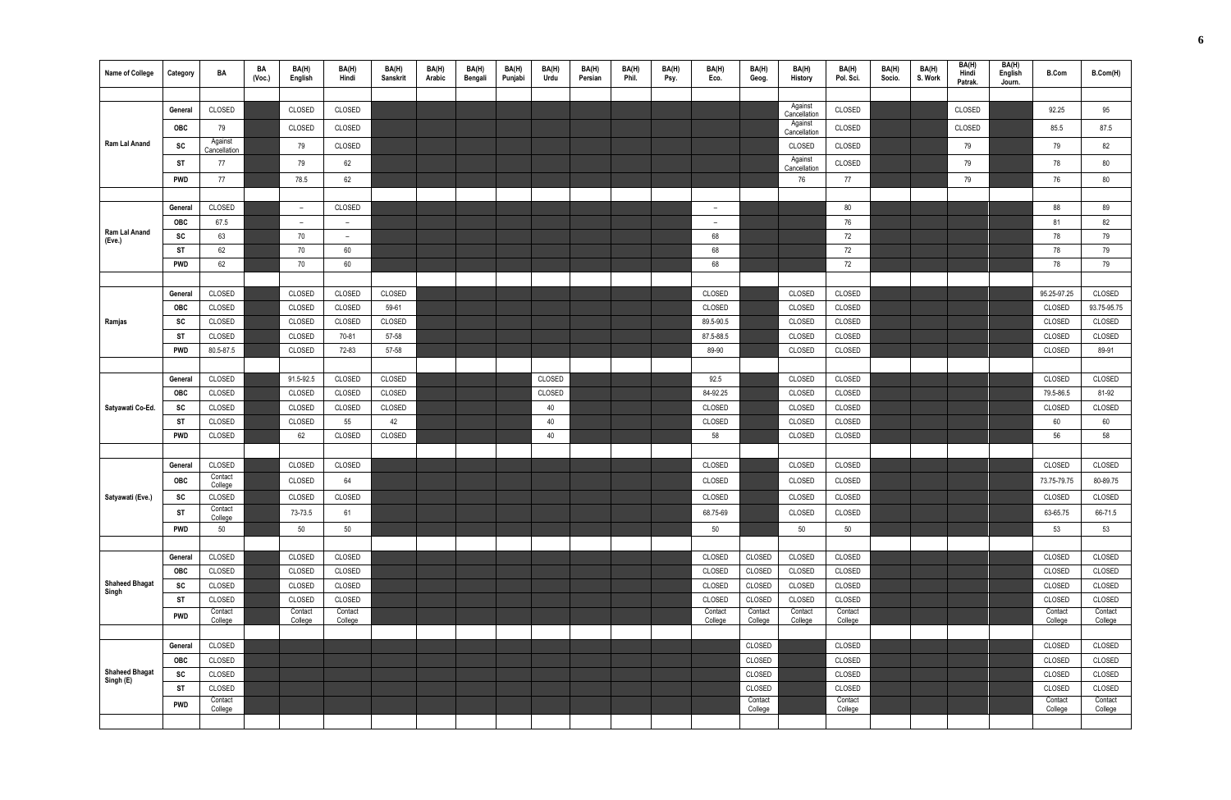| <b>Name of College</b>             | Category   | BA                      | BA<br>(Vec.) | BA(H)<br>English         | BA(H)<br>Hindi           | BA(H)<br>Sanskrit | BA(H)<br>Arabic | BA(H)<br>Bengali | BA(H)<br>Punjabi | BA(H)<br>Urdu | BA(H)<br>Persian | BA(H)<br>Phil. | BA(H)<br>Psy. | BA(H)<br>Eco.            | BA(H)<br>Geog.     | BA(H)<br>History        | BA(H)<br>Pol. Sci. | BA(H)<br>Socio. | BA(H)<br>S. Work | BA(H)<br>Hindi<br>Patrak. | BA(H)<br>English<br>Journ. | <b>B.Com</b>       | B.Com(H)           |
|------------------------------------|------------|-------------------------|--------------|--------------------------|--------------------------|-------------------|-----------------|------------------|------------------|---------------|------------------|----------------|---------------|--------------------------|--------------------|-------------------------|--------------------|-----------------|------------------|---------------------------|----------------------------|--------------------|--------------------|
|                                    |            |                         |              |                          |                          |                   |                 |                  |                  |               |                  |                |               |                          |                    |                         |                    |                 |                  |                           |                            |                    |                    |
|                                    | General    | CLOSED                  |              | CLOSED                   | CLOSED                   |                   |                 |                  |                  |               |                  |                |               |                          |                    | Against<br>Cancellation | CLOSED             |                 |                  | CLOSED                    |                            | 92.25              | 95                 |
|                                    | OBC        | 79                      |              | CLOSED                   | CLOSED                   |                   |                 |                  |                  |               |                  |                |               |                          |                    | Against<br>Cancellation | CLOSED             |                 |                  | CLOSED                    |                            | 85.5               | 87.5               |
| Ram Lal Anand                      | SC         | Against<br>Cancellation |              | 79                       | CLOSED                   |                   |                 |                  |                  |               |                  |                |               |                          |                    | CLOSED                  | CLOSED             |                 |                  | 79                        |                            | 79                 | 82                 |
|                                    | <b>ST</b>  | 77                      |              | 79                       | 62                       |                   |                 |                  |                  |               |                  |                |               |                          |                    | Against<br>Cancellation | CLOSED             |                 |                  | 79                        |                            | 78                 | 80                 |
|                                    | <b>PWD</b> | 77                      |              | 78.5                     | 62                       |                   |                 |                  |                  |               |                  |                |               |                          |                    | 76                      | 77                 |                 |                  | 79                        |                            | 76                 | 80                 |
|                                    |            |                         |              |                          |                          |                   |                 |                  |                  |               |                  |                |               |                          |                    |                         |                    |                 |                  |                           |                            |                    |                    |
|                                    | General    | CLOSED                  |              | $\overline{\phantom{a}}$ | CLOSED                   |                   |                 |                  |                  |               |                  |                |               | $\overline{\phantom{m}}$ |                    |                         | 80                 |                 |                  |                           |                            | 88                 | 89                 |
| Ram Lal Anand                      | OBC        | 67.5                    |              | $\overline{\phantom{a}}$ | $\overline{\phantom{a}}$ |                   |                 |                  |                  |               |                  |                |               | $\overline{\phantom{a}}$ |                    |                         | 76                 |                 |                  |                           |                            | 81                 | 82                 |
| (Eve.)                             | SC         | 63                      |              | 70                       | $-$                      |                   |                 |                  |                  |               |                  |                |               | 68                       |                    |                         | 72                 |                 |                  |                           |                            | 78                 | 79                 |
|                                    | ST         | 62                      |              | 70                       | 60                       |                   |                 |                  |                  |               |                  |                |               | 68                       |                    |                         | 72                 |                 |                  |                           |                            | 78                 | 79                 |
|                                    | <b>PWD</b> | 62                      |              | 70                       | 60                       |                   |                 |                  |                  |               |                  |                |               | 68                       |                    |                         | 72                 |                 |                  |                           |                            | 78                 | 79                 |
|                                    |            |                         |              |                          |                          |                   |                 |                  |                  |               |                  |                |               |                          |                    |                         |                    |                 |                  |                           |                            |                    |                    |
|                                    | General    | CLOSED                  |              | CLOSED                   | CLOSED                   | CLOSED            |                 |                  |                  |               |                  |                |               | CLOSED                   |                    | CLOSED                  | CLOSED             |                 |                  |                           |                            | 95.25-97.25        | CLOSED             |
|                                    | <b>OBC</b> | CLOSED                  |              | CLOSED                   | CLOSED                   | 59-61             |                 |                  |                  |               |                  |                |               | CLOSED                   |                    | CLOSED                  | CLOSED             |                 |                  |                           |                            | CLOSED             | 93.75-95.75        |
| Ramjas                             | SC<br>ST   | CLOSED<br>CLOSED        |              | CLOSED<br>CLOSED         | CLOSED<br>70-81          | CLOSED<br>57-58   |                 |                  |                  |               |                  |                |               | 89.5-90.5<br>87.5-88.5   |                    | CLOSED<br>CLOSED        | CLOSED<br>CLOSED   |                 |                  |                           |                            | CLOSED<br>CLOSED   | CLOSED<br>CLOSED   |
|                                    | <b>PWD</b> | 80.5-87.5               |              | CLOSED                   | 72-83                    | 57-58             |                 |                  |                  |               |                  |                |               | 89-90                    |                    | CLOSED                  | CLOSED             |                 |                  |                           |                            | CLOSED             | 89-91              |
|                                    |            |                         |              |                          |                          |                   |                 |                  |                  |               |                  |                |               |                          |                    |                         |                    |                 |                  |                           |                            |                    |                    |
|                                    | General    | CLOSED                  |              | 91.5-92.5                | CLOSED                   | CLOSED            |                 |                  |                  | CLOSED        |                  |                |               | 92.5                     |                    | CLOSED                  | CLOSED             |                 |                  |                           |                            | CLOSED             | CLOSED             |
|                                    | <b>OBC</b> | CLOSED                  |              | CLOSED                   | CLOSED                   | CLOSED            |                 |                  |                  | CLOSED        |                  |                |               | 84-92.25                 |                    | CLOSED                  | CLOSED             |                 |                  |                           |                            | 79.5-86.5          | 81-92              |
| Satyawati Co-Ed.                   | SC         | CLOSED                  |              | CLOSED                   | CLOSED                   | CLOSED            |                 |                  |                  | 40            |                  |                |               | CLOSED                   |                    | CLOSED                  | CLOSED             |                 |                  |                           |                            | CLOSED             | CLOSED             |
|                                    | ST         | CLOSED                  |              | CLOSED                   | 55                       | 42                |                 |                  |                  | 40            |                  |                |               | CLOSED                   |                    | CLOSED                  | CLOSED             |                 |                  |                           |                            | 60                 | 60                 |
|                                    | <b>PWD</b> | CLOSED                  |              | 62                       | CLOSED                   | CLOSED            |                 |                  |                  | 40            |                  |                |               | 58                       |                    | CLOSED                  | CLOSED             |                 |                  |                           |                            | 56                 | 58                 |
|                                    |            |                         |              |                          |                          |                   |                 |                  |                  |               |                  |                |               |                          |                    |                         |                    |                 |                  |                           |                            |                    |                    |
|                                    | General    | CLOSED                  |              | CLOSED                   | CLOSED                   |                   |                 |                  |                  |               |                  |                |               | CLOSED                   |                    | CLOSED                  | CLOSED             |                 |                  |                           |                            | CLOSED             | CLOSED             |
|                                    | <b>OBC</b> | Contact                 |              | CLOSED                   | 64                       |                   |                 |                  |                  |               |                  |                |               | CLOSED                   |                    | CLOSED                  | CLOSED             |                 |                  |                           |                            | 73.75-79.75        | 80-89.75           |
| Satyawati (Eve.)                   | SC         | College<br>CLOSED       |              | CLOSED                   | CLOSED                   |                   |                 |                  |                  |               |                  |                |               | CLOSED                   |                    | CLOSED                  | CLOSED             |                 |                  |                           |                            | CLOSED             | CLOSED             |
|                                    | ST         | Contact<br>College      |              | 73-73.5                  | 61                       |                   |                 |                  |                  |               |                  |                |               | 68.75-69                 |                    | CLOSED                  | CLOSED             |                 |                  |                           |                            | 63-65.75           | 66-71.5            |
|                                    | <b>PWD</b> | 50                      |              | 50                       | 50                       |                   |                 |                  |                  |               |                  |                |               | 50                       |                    | 50                      | 50                 |                 |                  |                           |                            | 53                 | 53                 |
|                                    |            |                         |              |                          |                          |                   |                 |                  |                  |               |                  |                |               |                          |                    |                         |                    |                 |                  |                           |                            |                    |                    |
|                                    | General    | CLOSED                  |              | CLOSED                   | CLOSED                   |                   |                 |                  |                  |               |                  |                |               | CLOSED                   | CLOSED             | CLOSED                  | CLOSED             |                 |                  |                           |                            | CLOSED             | CLOSED             |
|                                    | <b>OBC</b> | CLOSED                  |              | CLOSED                   | CLOSED                   |                   |                 |                  |                  |               |                  |                |               | CLOSED                   | CLOSED             | CLOSED                  | CLOSED             |                 |                  |                           |                            | CLOSED             | CLOSED             |
| <b>Shaheed Bhagat</b><br>Singh     | SC         | CLOSED                  |              | CLOSED                   | CLOSED                   |                   |                 |                  |                  |               |                  |                |               | CLOSED                   | CLOSED             | CLOSED                  | CLOSED             |                 |                  |                           |                            | CLOSED             | CLOSED             |
|                                    | ST         | CLOSED                  |              | CLOSED                   | CLOSED                   |                   |                 |                  |                  |               |                  |                |               | CLOSED                   | CLOSED             | CLOSED                  | CLOSED             |                 |                  |                           |                            | CLOSED             | CLOSED             |
|                                    | <b>PWD</b> | Contact<br>College      |              | Contact<br>College       | Contact<br>College       |                   |                 |                  |                  |               |                  |                |               | Contact<br>College       | Contact<br>College | Contact<br>College      | Contact<br>College |                 |                  |                           |                            | Contact<br>College | Contact<br>College |
|                                    |            |                         |              |                          |                          |                   |                 |                  |                  |               |                  |                |               |                          |                    |                         |                    |                 |                  |                           |                            |                    |                    |
|                                    | General    | CLOSED                  |              |                          |                          |                   |                 |                  |                  |               |                  |                |               |                          | CLOSED             |                         | CLOSED             |                 |                  |                           |                            | CLOSED             | CLOSED             |
|                                    | <b>OBC</b> | CLOSED                  |              |                          |                          |                   |                 |                  |                  |               |                  |                |               |                          | CLOSED             |                         | CLOSED             |                 |                  |                           |                            | CLOSED             | CLOSED             |
| <b>Shaheed Bhagat</b><br>Singh (E) | SC         | CLOSED                  |              |                          |                          |                   |                 |                  |                  |               |                  |                |               |                          | CLOSED             |                         | CLOSED             |                 |                  |                           |                            | CLOSED             | CLOSED             |
|                                    | ST         | CLOSED                  |              |                          |                          |                   |                 |                  |                  |               |                  |                |               |                          | CLOSED             |                         | CLOSED             |                 |                  |                           |                            | CLOSED             | CLOSED             |
|                                    | <b>PWD</b> | Contact<br>College      |              |                          |                          |                   |                 |                  |                  |               |                  |                |               |                          | Contact<br>College |                         | Contact<br>College |                 |                  |                           |                            | Contact<br>College | Contact<br>College |
|                                    |            |                         |              |                          |                          |                   |                 |                  |                  |               |                  |                |               |                          |                    |                         |                    |                 |                  |                           |                            |                    |                    |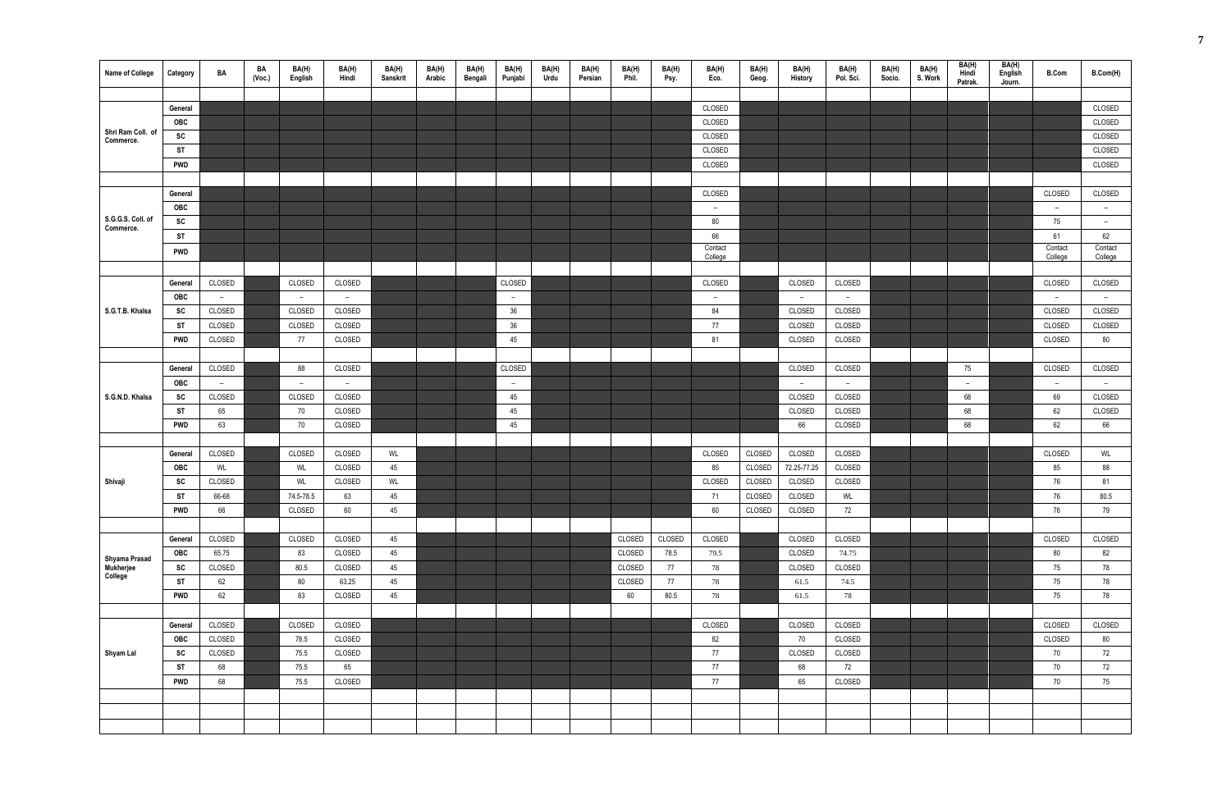| <b>Name of College</b>                | Category   | BA     | BA<br>(Vec.) | BA(H)<br>English         | BA(H)<br>Hindi | BA(H)<br>Sanskrit | BA(H)<br>Arabic | BA(H)<br>Bengali | BA(H)<br>Punjabi | BA(H)<br>Urdu | BA(H)<br>Persian | BA(H)<br>Phil. | BA(H)<br>Psy. | BA(H)<br>Eco.      | BA(H)<br>Geog. | BA(H)<br><b>History</b>  | BA(H)<br>Pol. Sci. | BA(H)<br>Socio. | BA(H)<br>S. Work | BA(H)<br>Hindi<br>Patrak. | BA(H)<br>English<br>Journ. | <b>B.Com</b>       | B.Com(H)                 |
|---------------------------------------|------------|--------|--------------|--------------------------|----------------|-------------------|-----------------|------------------|------------------|---------------|------------------|----------------|---------------|--------------------|----------------|--------------------------|--------------------|-----------------|------------------|---------------------------|----------------------------|--------------------|--------------------------|
|                                       |            |        |              |                          |                |                   |                 |                  |                  |               |                  |                |               |                    |                |                          |                    |                 |                  |                           |                            |                    |                          |
|                                       | General    |        |              |                          |                |                   |                 |                  |                  |               |                  |                |               | CLOSED             |                |                          |                    |                 |                  |                           |                            |                    | CLOSED                   |
|                                       | OBC        |        |              |                          |                |                   |                 |                  |                  |               |                  |                |               | CLOSED             |                |                          |                    |                 |                  |                           |                            |                    | CLOSED                   |
| Shri Ram Coll. of<br>Commerce.        | SC         |        |              |                          |                |                   |                 |                  |                  |               |                  |                |               | CLOSED             |                |                          |                    |                 |                  |                           |                            |                    | CLOSED                   |
|                                       | <b>ST</b>  |        |              |                          |                |                   |                 |                  |                  |               |                  |                |               | CLOSED             |                |                          |                    |                 |                  |                           |                            |                    | CLOSED                   |
|                                       | <b>PWD</b> |        |              |                          |                |                   |                 |                  |                  |               |                  |                |               | CLOSED             |                |                          |                    |                 |                  |                           |                            |                    | CLOSED                   |
|                                       |            |        |              |                          |                |                   |                 |                  |                  |               |                  |                |               |                    |                |                          |                    |                 |                  |                           |                            |                    |                          |
|                                       | General    |        |              |                          |                |                   |                 |                  |                  |               |                  |                |               | CLOSED             |                |                          |                    |                 |                  |                           |                            | CLOSED             | CLOSED                   |
|                                       | OBC        |        |              |                          |                |                   |                 |                  |                  |               |                  |                |               | $\overline{a}$     |                |                          |                    |                 |                  |                           |                            | $\overline{a}$     | $\sim$                   |
| S.G.G.S. Coll. of<br>Commerce.        | SC         |        |              |                          |                |                   |                 |                  |                  |               |                  |                |               | 80                 |                |                          |                    |                 |                  |                           |                            | 75                 | $\overline{\phantom{a}}$ |
|                                       | <b>ST</b>  |        |              |                          |                |                   |                 |                  |                  |               |                  |                |               | 66                 |                |                          |                    |                 |                  |                           |                            | 61                 | 62                       |
|                                       | PWD        |        |              |                          |                |                   |                 |                  |                  |               |                  |                |               | Contact<br>College |                |                          |                    |                 |                  |                           |                            | Contact<br>College | Contact<br>College       |
|                                       |            |        |              |                          |                |                   |                 |                  |                  |               |                  |                |               |                    |                |                          |                    |                 |                  |                           |                            |                    |                          |
|                                       | General    | CLOSED |              | CLOSED                   | CLOSED         |                   |                 |                  | CLOSED           |               |                  |                |               | CLOSED             |                | CLOSED                   | CLOSED             |                 |                  |                           |                            | CLOSED             | CLOSED                   |
|                                       | OBC        | $-$    |              | $\sim$                   | $\sim$         |                   |                 |                  | $ \,$            |               |                  |                |               | $-$                |                | $\overline{\phantom{0}}$ | $\sim$             |                 |                  |                           |                            | $\sim$             | $ \,$                    |
| S.G.T.B. Khalsa                       | SC         | CLOSED |              | CLOSED                   | CLOSED         |                   |                 |                  | $36\,$           |               |                  |                |               | 84                 |                | CLOSED                   | CLOSED             |                 |                  |                           |                            | CLOSED             | CLOSED                   |
|                                       | ST         | CLOSED |              | CLOSED                   | CLOSED         |                   |                 |                  | 36               |               |                  |                |               | 77                 |                | CLOSED                   | CLOSED             |                 |                  |                           |                            | CLOSED             | CLOSED                   |
|                                       | <b>PWD</b> | CLOSED |              | 77                       | CLOSED         |                   |                 |                  | 45               |               |                  |                |               | 81                 |                | CLOSED                   | CLOSED             |                 |                  |                           |                            | CLOSED             | 80                       |
|                                       |            |        |              |                          |                |                   |                 |                  |                  |               |                  |                |               |                    |                |                          |                    |                 |                  |                           |                            |                    |                          |
|                                       | General    | CLOSED |              | 88                       | CLOSED         |                   |                 |                  | CLOSED           |               |                  |                |               |                    |                | CLOSED                   | CLOSED             |                 |                  | 75                        |                            | CLOSED             | CLOSED                   |
|                                       | OBC        | $-$    |              | $\overline{\phantom{a}}$ | $ \,$          |                   |                 |                  | $-$              |               |                  |                |               |                    |                | $-$                      | $\sim$             |                 |                  | $ \,$                     |                            | $-$                | $\sim$                   |
| S.G.N.D. Khalsa                       | SC         | CLOSED |              | CLOSED                   | CLOSED         |                   |                 |                  | 45               |               |                  |                |               |                    |                | CLOSED                   | CLOSED             |                 |                  | 68                        |                            | 69                 | CLOSED                   |
|                                       | ST         | 65     |              | 70                       | CLOSED         |                   |                 |                  | 45               |               |                  |                |               |                    |                | CLOSED                   | CLOSED             |                 |                  | 68                        |                            | 62                 | CLOSED                   |
|                                       | <b>PWD</b> | 63     |              | 70                       | CLOSED         |                   |                 |                  | 45               |               |                  |                |               |                    |                | 66                       | CLOSED             |                 |                  | 68                        |                            | 62                 | 66                       |
|                                       |            |        |              |                          |                |                   |                 |                  |                  |               |                  |                |               |                    |                |                          |                    |                 |                  |                           |                            |                    |                          |
|                                       | General    | CLOSED |              | CLOSED                   | CLOSED         | WL                |                 |                  |                  |               |                  |                |               | CLOSED             | CLOSED         | CLOSED                   | CLOSED             |                 |                  |                           |                            | CLOSED             | WL                       |
|                                       | OBC        | WL     |              | WL                       | CLOSED         | 45                |                 |                  |                  |               |                  |                |               | 85                 | CLOSED         | 72.25-77.25              | CLOSED             |                 |                  |                           |                            | 85                 | 88                       |
| Shivaji                               | SC         | CLOSED |              | WL                       | CLOSED         | WL                |                 |                  |                  |               |                  |                |               | CLOSED             | CLOSED         | CLOSED                   | CLOSED             |                 |                  |                           |                            | 76                 | 81                       |
|                                       | <b>ST</b>  | 66-68  |              | 74.5-78.5                | 63             | 45                |                 |                  |                  |               |                  |                |               | 71                 | CLOSED         | CLOSED                   | WL                 |                 |                  |                           |                            | 76                 | 80.5                     |
|                                       | <b>PWD</b> | 66     |              | CLOSED                   | 60             | 45                |                 |                  |                  |               |                  |                |               | 60                 | CLOSED         | CLOSED                   | 72                 |                 |                  |                           |                            | 76                 | 79                       |
|                                       |            |        |              |                          |                |                   |                 |                  |                  |               |                  |                |               |                    |                |                          |                    |                 |                  |                           |                            |                    |                          |
|                                       | General    | CLOSED |              | CLOSED                   | CLOSED         | 45                |                 |                  |                  |               |                  | CLOSED         | CLOSED        | CLOSED             |                | CLOSED                   | CLOSED             |                 |                  |                           |                            | CLOSED             | CLOSED                   |
|                                       | <b>OBC</b> | 65.75  |              | 83                       | CLOSED         | 45                |                 |                  |                  |               |                  | CLOSED         | 78.5          | 79.5               |                | CLOSED                   | 74.75              |                 |                  |                           |                            | 80                 | 82                       |
| Shyama Prasad<br>Mukherjee<br>College | SC         | CLOSED |              | 80.5                     | CLOSED         | 45                |                 |                  |                  |               |                  | CLOSED         | 77            | 78                 |                | CLOSED                   | CLOSED             |                 |                  |                           |                            | 75                 | 78                       |
|                                       | <b>ST</b>  | 62     |              | 80                       | 63.25          | 45                |                 |                  |                  |               |                  | CLOSED         | 77            | 78                 |                | 61.5                     | 74.5               |                 |                  |                           |                            | 75                 | 78                       |
|                                       | <b>PWD</b> | 62     |              | 83                       | CLOSED         | 45                |                 |                  |                  |               |                  | 60             | 80.5          | 78                 |                | 61.5                     | 78                 |                 |                  |                           |                            | 75                 | 78                       |
|                                       |            |        |              |                          |                |                   |                 |                  |                  |               |                  |                |               |                    |                |                          |                    |                 |                  |                           |                            |                    |                          |
|                                       | General    | CLOSED |              | CLOSED                   | CLOSED         |                   |                 |                  |                  |               |                  |                |               | CLOSED             |                | CLOSED                   | CLOSED             |                 |                  |                           |                            | CLOSED             | CLOSED                   |
|                                       | <b>OBC</b> | CLOSED |              | 78.5                     | CLOSED         |                   |                 |                  |                  |               |                  |                |               | 82                 |                | 70                       | CLOSED             |                 |                  |                           |                            | CLOSED             | 80                       |
| Shyam Lal                             | SC         | CLOSED |              | 75.5                     | CLOSED         |                   |                 |                  |                  |               |                  |                |               | 77                 |                | CLOSED                   | CLOSED             |                 |                  |                           |                            | 70                 | 72                       |
|                                       | <b>ST</b>  | 68     |              | 75.5                     | 65             |                   |                 |                  |                  |               |                  |                |               | 77                 |                | 68                       | 72                 |                 |                  |                           |                            | 70                 | 72                       |
|                                       | <b>PWD</b> | 68     |              | 75.5                     | CLOSED         |                   |                 |                  |                  |               |                  |                |               | 77                 |                | 65                       | CLOSED             |                 |                  |                           |                            | 70                 | 75                       |
|                                       |            |        |              |                          |                |                   |                 |                  |                  |               |                  |                |               |                    |                |                          |                    |                 |                  |                           |                            |                    |                          |
|                                       |            |        |              |                          |                |                   |                 |                  |                  |               |                  |                |               |                    |                |                          |                    |                 |                  |                           |                            |                    |                          |
|                                       |            |        |              |                          |                |                   |                 |                  |                  |               |                  |                |               |                    |                |                          |                    |                 |                  |                           |                            |                    |                          |
|                                       |            |        |              |                          |                |                   |                 |                  |                  |               |                  |                |               |                    |                |                          |                    |                 |                  |                           |                            |                    |                          |